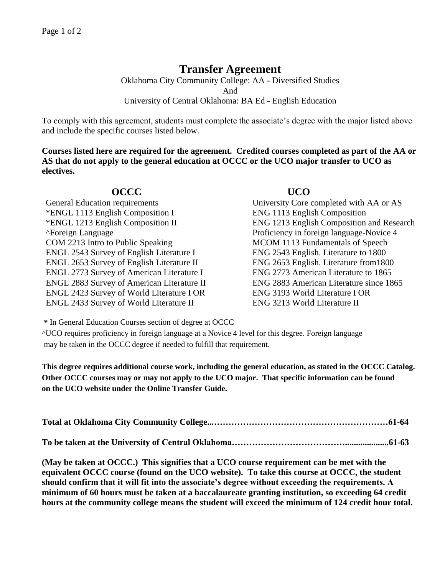# **Transfer Agreement**

Oklahoma City Community College: AA - Diversified Studies And University of Central Oklahoma: BA Ed - English Education

To comply with this agreement, students must complete the associate's degree with the major listed above and include the specific courses listed below.

**Courses listed here are required for the agreement. Credited courses completed as part of the AA or AS that do not apply to the general education at OCCC or the UCO major transfer to UCO as electives.**

## **OCCC UCO**

General Education requirements University Core completed with AA or AS \*ENGL 1113 English Composition I ENG 1113 English Composition ^Foreign Language Proficiency in foreign language-Novice 4 COM 2213 Intro to Public Speaking MCOM 1113 Fundamentals of Speech ENGL 2543 Survey of English Literature I ENG 2543 English. Literature to 1800 ENGL 2653 Survey of English Literature II ENG 2653 English. Literature from1800 ENGL 2773 Survey of American Literature I ENG 2773 American Literature to 1865 ENGL 2883 Survey of American Literature II ENG 2883 American Literature since 1865 ENGL 2423 Survey of World Literature I OR ENG 3193 World Literature I OR ENGL 2433 Survey of World Literature II ENG 3213 World Literature II

\*ENGL 1213 English Composition II ENG 1213 English Composition and Research

**\*** In General Education Courses section of degree at OCCC

^UCO requires proficiency in foreign language at a Novice 4 level for this degree. Foreign language may be taken in the OCCC degree if needed to fulfill that requirement.

**This degree requires additional course work, including the general education, as stated in the OCCC Catalog. Other OCCC courses may or may not apply to the UCO major. That specific information can be found on the UCO website under the Online Transfer Guide.**

**To be taken at the University of Central Oklahoma…………………………………....................61-63**

**(May be taken at OCCC.) This signifies that a UCO course requirement can be met with the equivalent OCCC course (found on the UCO website). To take this course at OCCC, the student should confirm that it will fit into the associate's degree without exceeding the requirements. A minimum of 60 hours must be taken at a baccalaureate granting institution, so exceeding 64 credit hours at the community college means the student will exceed the minimum of 124 credit hour total.**